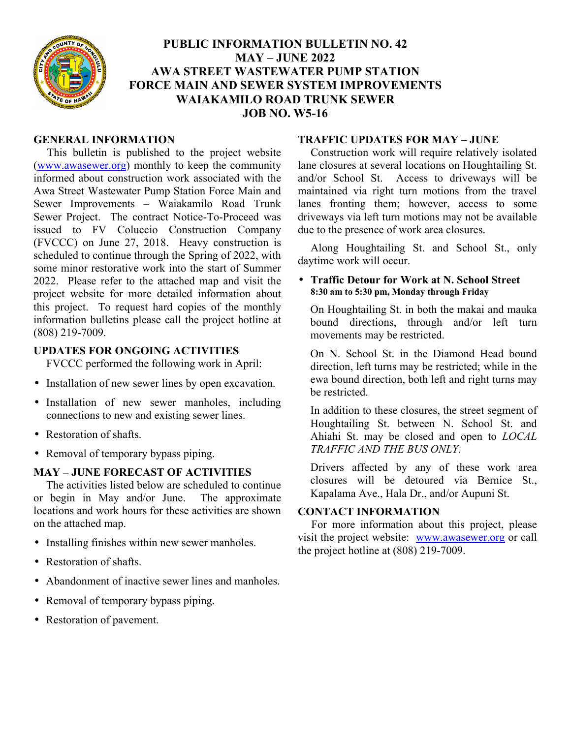

# **PUBLIC INFORMATION BULLETIN NO. 42 MAY – JUNE 2022 AWA STREET WASTEWATER PUMP STATION FORCE MAIN AND SEWER SYSTEM IMPROVEMENTS WAIAKAMILO ROAD TRUNK SEWER JOB NO. W5-16**

#### **GENERAL INFORMATION**

This bulletin is published to the project website (www.awasewer.org) monthly to keep the community informed about construction work associated with the Awa Street Wastewater Pump Station Force Main and Sewer Improvements – Waiakamilo Road Trunk Sewer Project. The contract Notice-To-Proceed was issued to FV Coluccio Construction Company (FVCCC) on June 27, 2018. Heavy construction is scheduled to continue through the Spring of 2022, with some minor restorative work into the start of Summer 2022. Please refer to the attached map and visit the project website for more detailed information about this project. To request hard copies of the monthly information bulletins please call the project hotline at (808) 219-7009.

# **UPDATES FOR ONGOING ACTIVITIES**

FVCCC performed the following work in April:

- Installation of new sewer lines by open excavation.
- Installation of new sewer manholes, including connections to new and existing sewer lines.
- Restoration of shafts.
- Removal of temporary bypass piping.

# **MAY – JUNE FORECAST OF ACTIVITIES**

The activities listed below are scheduled to continue or begin in May and/or June. The approximate locations and work hours for these activities are shown on the attached map.

- Installing finishes within new sewer manholes.
- Restoration of shafts.
- Abandonment of inactive sewer lines and manholes.
- Removal of temporary bypass piping.
- Restoration of pavement.

#### **TRAFFIC UPDATES FOR MAY – JUNE**

Construction work will require relatively isolated lane closures at several locations on Houghtailing St. and/or School St. Access to driveways will be maintained via right turn motions from the travel lanes fronting them; however, access to some driveways via left turn motions may not be available due to the presence of work area closures.

Along Houghtailing St. and School St., only daytime work will occur.

#### • **Traffic Detour for Work at N. School Street 8:30 am to 5:30 pm, Monday through Friday**

On Houghtailing St. in both the makai and mauka bound directions, through and/or left turn movements may be restricted.

On N. School St. in the Diamond Head bound direction, left turns may be restricted; while in the ewa bound direction, both left and right turns may be restricted.

In addition to these closures, the street segment of Houghtailing St. between N. School St. and Ahiahi St. may be closed and open to *LOCAL TRAFFIC AND THE BUS ONLY*.

Drivers affected by any of these work area closures will be detoured via Bernice St., Kapalama Ave., Hala Dr., and/or Aupuni St.

# **CONTACT INFORMATION**

For more information about this project, please visit the project website: www.awasewer.org or call the project hotline at (808) 219-7009.